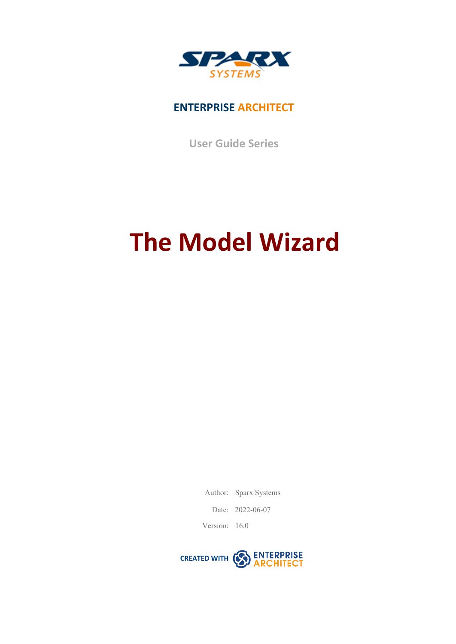

### **ENTERPRISE ARCHITECT**

**User Guide Series**

# **The Model Wizard**

Author: Sparx Systems

Date: 2022-06-07

Version: 16.0

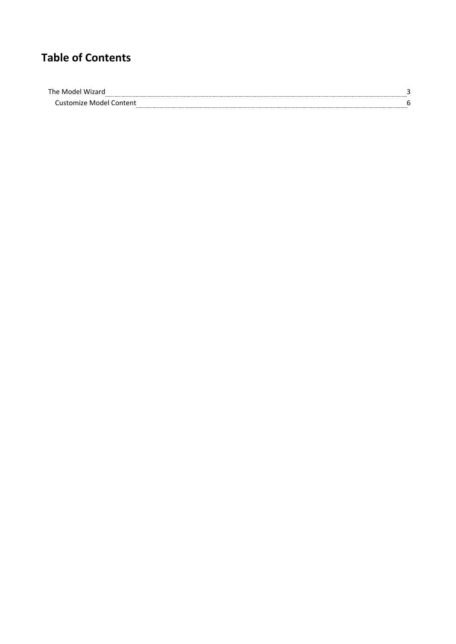## **Table of Contents**

| ⊤he |  |
|-----|--|
|     |  |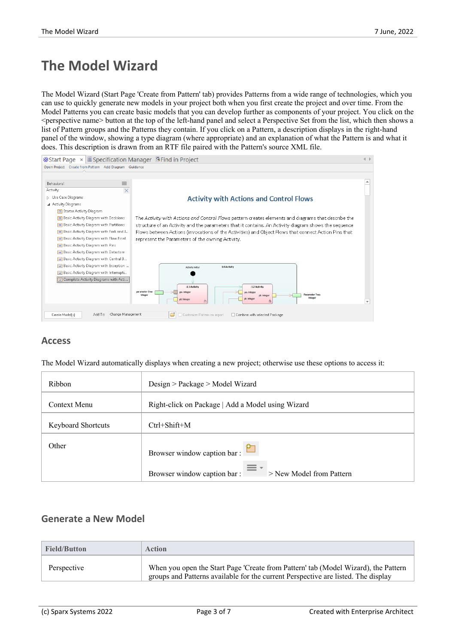## **The Model Wizard**

The Model Wizard (Start Page 'Create from Pattern' tab) provides Patterns from a wide range of technologies, which you can use to quickly generate new models inyour project both when you first create the project and over time. From the Model Patterns you can create basic models that you can develop further as components ofyour project. You click on the <perspective name> button at the top of the left-hand panel and select a Perspective Set from the list, which then shows a list of Pattern groups and the Patterns they contain. If you click on a Pattern, a description displays in the right-hand panel of the window, showing a type diagram (where appropriate) and an explanation of what the Pattern is and what it does. This description is drawn from an RTF file paired with the Pattern's source XML file.



#### **Access**

The Model Wizard automatically displays when creating a new project; otherwise use these options to access it:

| Ribbon                    | Design > Package > Model Wizard                         |  |
|---------------------------|---------------------------------------------------------|--|
| Context Menu              | Right-click on Package   Add a Model using Wizard       |  |
| <b>Keyboard Shortcuts</b> | $Ctrl + Shift + M$                                      |  |
| Other                     | Browser window caption bar:                             |  |
|                           | Browser window caption bar:<br>> New Model from Pattern |  |

#### **Generate a New Model**

| <b>Field/Button</b> | <b>Action</b>                                                                                                                                                           |
|---------------------|-------------------------------------------------------------------------------------------------------------------------------------------------------------------------|
| Perspective         | When you open the Start Page 'Create from Pattern' tab (Model Wizard), the Pattern<br>groups and Patterns available for the current Perspective are listed. The display |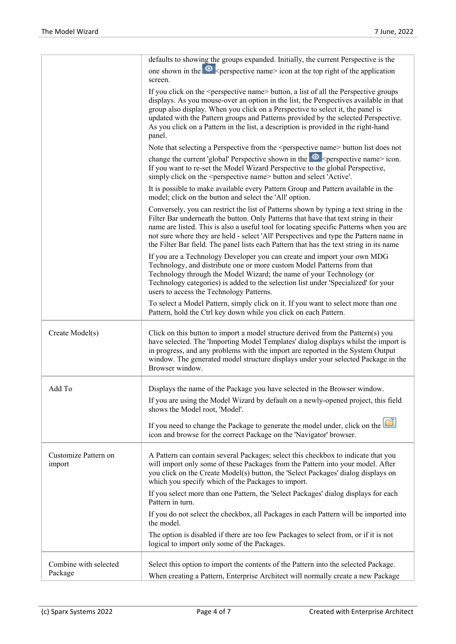|                                | defaults to showing the groups expanded. Initially, the current Perspective is the                                                                                                                                                                                                                                                                                                                                                                                         |
|--------------------------------|----------------------------------------------------------------------------------------------------------------------------------------------------------------------------------------------------------------------------------------------------------------------------------------------------------------------------------------------------------------------------------------------------------------------------------------------------------------------------|
|                                | one shown in the $\circledcirc$ < perspective name icon at the top right of the application<br>screen.                                                                                                                                                                                                                                                                                                                                                                     |
|                                | If you click on the <perspective name=""> button, a list of all the Perspective groups<br/>displays. As you mouse-over an option in the list, the Perspectives available in that<br/>group also display. When you click on a Perspective to select it, the panel is<br/>updated with the Pattern groups and Patterns provided by the selected Perspective.<br/>As you click on a Pattern in the list, a description is provided in the right-hand<br/>panel.</perspective> |
|                                | Note that selecting a Perspective from the <perspective name=""> button list does not</perspective>                                                                                                                                                                                                                                                                                                                                                                        |
|                                | change the current 'global' Perspective shown in the $\bullet$ <perspective name=""> icon.<br/>If you want to re-set the Model Wizard Perspective to the global Perspective,<br/>simply click on the <perspective name=""> button and select 'Active'.</perspective></perspective>                                                                                                                                                                                         |
|                                | It is possible to make available every Pattern Group and Pattern available in the<br>model; click on the button and select the 'All' option.                                                                                                                                                                                                                                                                                                                               |
|                                | Conversely, you can restrict the list of Patterns shown by typing a text string in the<br>Filter Bar underneath the button. Only Patterns that have that text string in their<br>name are listed. This is also a useful tool for locating specific Patterns when you are<br>not sure where they are held - select 'All' Perspectives and type the Pattern name in<br>the Filter Bar field. The panel lists each Pattern that has the text string in its name               |
|                                | If you are a Technology Developer you can create and import your own MDG<br>Technology, and distribute one or more custom Model Patterns from that<br>Technology through the Model Wizard; the name of your Technology (or<br>Technology categories) is added to the selection list under 'Specialized' for your<br>users to access the Technology Patterns.                                                                                                               |
|                                | To select a Model Pattern, simply click on it. If you want to select more than one<br>Pattern, hold the Ctrl key down while you click on each Pattern.                                                                                                                                                                                                                                                                                                                     |
| Create Model(s)                | Click on this button to import a model structure derived from the Pattern(s) you<br>have selected. The 'Importing Model Templates' dialog displays whilst the import is<br>in progress, and any problems with the import are reported in the System Output<br>window. The generated model structure displays under your selected Package in the<br>Browser window.                                                                                                         |
| Add To                         | Displays the name of the Package you have selected in the Browser window.                                                                                                                                                                                                                                                                                                                                                                                                  |
|                                | If you are using the Model Wizard by default on a newly-opened project, this field<br>shows the Model root, 'Model'.                                                                                                                                                                                                                                                                                                                                                       |
|                                | If you need to change the Package to generate the model under, click on the<br>icon and browse for the correct Package on the 'Navigator' browser.                                                                                                                                                                                                                                                                                                                         |
| Customize Pattern on<br>import | A Pattern can contain several Packages; select this checkbox to indicate that you<br>will import only some of these Packages from the Pattern into your model. After<br>you click on the Create Model(s) button, the 'Select Packages' dialog displays on<br>which you specify which of the Packages to import.                                                                                                                                                            |
|                                | If you select more than one Pattern, the 'Select Packages' dialog displays for each<br>Pattern in turn.                                                                                                                                                                                                                                                                                                                                                                    |
|                                | If you do not select the checkbox, all Packages in each Pattern will be imported into<br>the model.                                                                                                                                                                                                                                                                                                                                                                        |
|                                | The option is disabled if there are too few Packages to select from, or if it is not<br>logical to import only some of the Packages.                                                                                                                                                                                                                                                                                                                                       |
| Combine with selected          | Select this option to import the contents of the Pattern into the selected Package.                                                                                                                                                                                                                                                                                                                                                                                        |
| Package                        | When creating a Pattern, Enterprise Architect will normally create a new Package                                                                                                                                                                                                                                                                                                                                                                                           |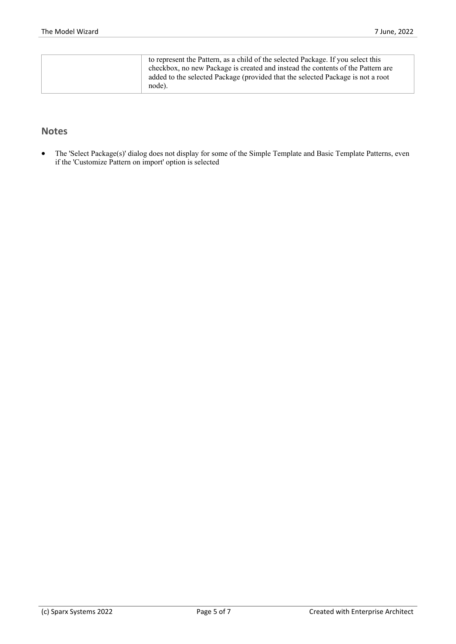| to represent the Pattern, as a child of the selected Package. If you select this<br>checkbox, no new Package is created and instead the contents of the Pattern are<br>added to the selected Package (provided that the selected Package is not a root |
|--------------------------------------------------------------------------------------------------------------------------------------------------------------------------------------------------------------------------------------------------------|
| node).                                                                                                                                                                                                                                                 |

#### **Notes**

· The 'Select Package(s)' dialog doesnot display for some of the Simple Template and Basic Template Patterns, even if the 'Customize Pattern on import' option is selected